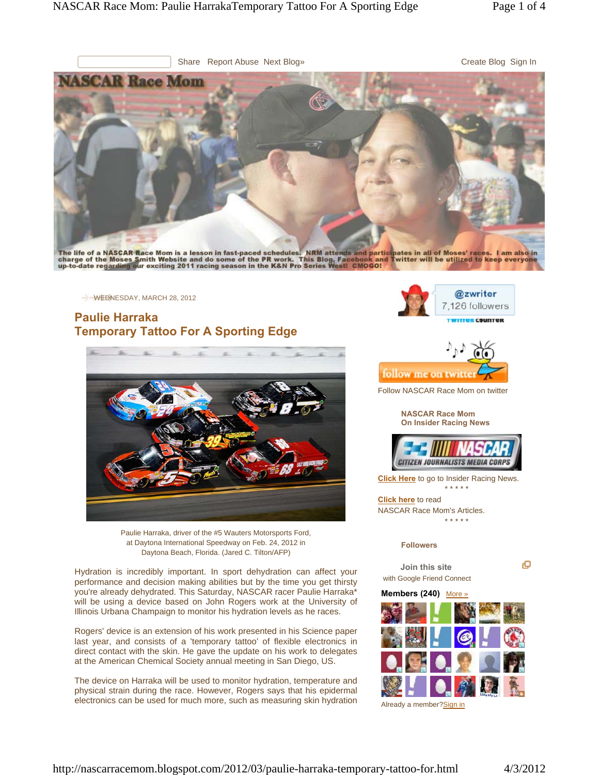

The life of a NASCAR Race Mom is a lesson in fast-paced schedules. NRM attends and participates in all of Moses' races. I am also in<br>charge of the Moses Smith Website and do some of the PR work. This Blog, Facebook and Twi

WEDNESDAY, MARCH 28, 2012

# **Paulie Harraka Temporary Tattoo For A Sporting Edge**



Paulie Harraka, driver of the #5 Wauters Motorsports Ford, at Daytona International Speedway on Feb. 24, 2012 in Daytona Beach, Florida. (Jared C. Tilton/AFP)

Hydration is incredibly important. In sport dehydration can affect your performance and decision making abilities but by the time you get thirsty you're already dehydrated. This Saturday, NASCAR racer Paulie Harraka\* will be using a device based on John Rogers work at the University of Illinois Urbana Champaign to monitor his hydration levels as he races.

Rogers' device is an extension of his work presented in his Science paper last year, and consists of a 'temporary tattoo' of flexible electronics in direct contact with the skin. He gave the update on his work to delegates at the American Chemical Society annual meeting in San Diego, US.

The device on Harraka will be used to monitor hydration, temperature and physical strain during the race. However, Rogers says that his epidermal electronics can be used for much more, such as measuring skin hydration





Follow NASCAR Race Mom on twitter

**NASCAR Race Mom On Insider Racing News**



**Click Here** to go to Insider Racing News.

\* \* \* \* \*

**Click here** to read NASCAR Race Mom's Articles. \* \* \* \* \*

### **Followers**

**Join this site** with Google Friend Connect

#### **Members (240)** More »



Already a member?**Sign in** 

o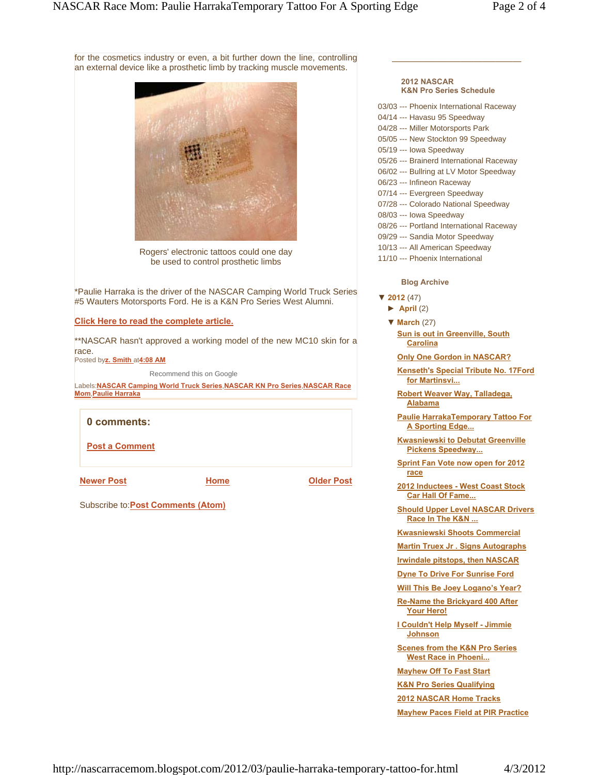for the cosmetics industry or even, a bit further down the line, controlling an external device like a prosthetic limb by tracking muscle movements.



Rogers' electronic tattoos could one day be used to control prosthetic limbs

\*Paulie Harraka is the driver of the NASCAR Camping World Truck Series #5 Wauters Motorsports Ford. He is a K&N Pro Series West Alumni.

**Click Here to read the complete article.**

\*\*NASCAR hasn't approved a working model of the new MC10 skin for a race.

Posted by**z. Smith** at**4:08 AM**

Recommend this on Google

Labels:**NASCAR Camping World Truck Series**,**NASCAR KN Pro Series**,**NASCAR Race Mom**,**Paulie Harraka**

# **0 comments:**

**Post a Comment**

**Newer Post COLORED EXECUTE: COLORED EXECUTE: Older Post** 

**Home**

Subscribe to:**Post Comments (Atom)**

#### **2012 NASCAR K&N Pro Series Schedule**

\_\_\_\_\_\_\_\_\_\_\_\_\_\_\_\_\_\_\_\_\_\_\_\_\_\_\_\_\_\_

- 03/03 --- Phoenix International Raceway
- 04/14 --- Havasu 95 Speedway
- 04/28 --- Miller Motorsports Park
- 05/05 --- New Stockton 99 Speedway
- 05/19 --- Iowa Speedway
- 05/26 --- Brainerd International Raceway
- 06/02 --- Bullring at LV Motor Speedway
- 06/23 --- Infineon Raceway
- 07/14 --- Evergreen Speedway
- 07/28 --- Colorado National Speedway
- 08/03 --- Iowa Speedway
- 08/26 --- Portland International Raceway
- 09/29 --- Sandia Motor Speedway
- 10/13 --- All American Speedway
- 11/10 --- Phoenix International

### **Blog Archive**

- **▼ 2012** (47)
	- **► April** (2)
	- **▼ March** (27) **Sun is out in Greenville, South Carolina**

**Only One Gordon in NASCAR?**

**Kenseth's Special Tribute No. 17Ford for Martinsvi...**

**Robert Weaver Way, Talladega, Alabama**

**Paulie HarrakaTemporary Tattoo For A Sporting Edge...**

**Kwasniewski to Debutat Greenville Pickens Speedway...**

**Sprint Fan Vote now open for 2012 race**

**2012 Inductees - West Coast Stock Car Hall Of Fame...**

**Should Upper Level NASCAR Drivers Race In The K&N ...**

**Kwasniewski Shoots Commercial**

**Martin Truex Jr . Signs Autographs**

**Irwindale pitstops, then NASCAR**

**Dyne To Drive For Sunrise Ford**

**Will This Be Joey Logano's Year?**

**Re-Name the Brickyard 400 After Your Hero!**

**I Couldn't Help Myself - Jimmie Johnson**

**Scenes from the K&N Pro Series West Race in Phoeni...**

**Mayhew Off To Fast Start**

**K&N Pro Series Qualifying**

**2012 NASCAR Home Tracks**

**Mayhew Paces Field at PIR Practice**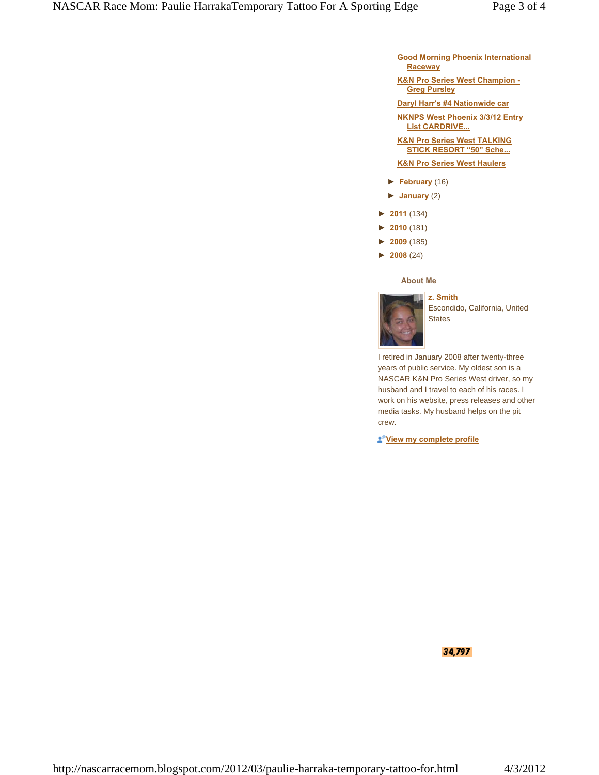- **Good Morning Phoenix International Raceway**
- **K&N Pro Series West Champion - Greg Pursley**
- **Daryl Harr's #4 Nationwide car**

**NKNPS West Phoenix 3/3/12 Entry List CARDRIVE...**

**K&N Pro Series West TALKING STICK RESORT "50" Sche...**

## **K&N Pro Series West Haulers**

- **► February** (16)
- **► January** (2)
- **► 2011** (134)
- **► 2010** (181)
- **► 2009** (185)
- **► 2008** (24)

#### **About Me**



Escondido, California, United **States** 

I retired in January 2008 after twenty-three years of public service. My oldest son is a NASCAR K&N Pro Series West driver, so my husband and I travel to each of his races. I work on his website, press releases and other media tasks. My husband helps on the pit crew.

**View my complete profile**

34,797